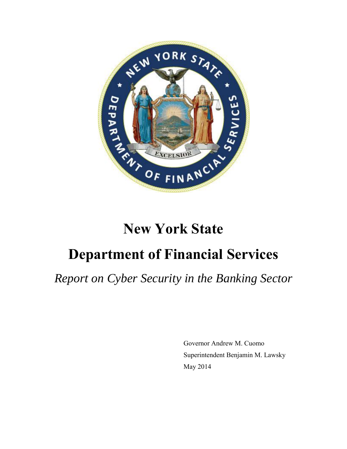

# **New York State**

# **Department of Financial Services**

*Report on Cyber Security in the Banking Sector*

 Governor Andrew M. Cuomo Superintendent Benjamin M. Lawsky May 2014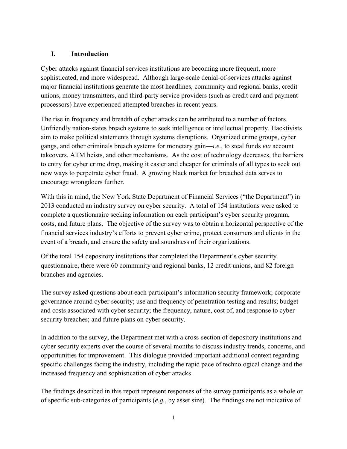#### **I. Introduction**

Cyber attacks against financial services institutions are becoming more frequent, more sophisticated, and more widespread. Although large-scale denial-of-services attacks against major financial institutions generate the most headlines, community and regional banks, credit unions, money transmitters, and third-party service providers (such as credit card and payment processors) have experienced attempted breaches in recent years.

The rise in frequency and breadth of cyber attacks can be attributed to a number of factors. Unfriendly nation-states breach systems to seek intelligence or intellectual property. Hacktivists aim to make political statements through systems disruptions. Organized crime groups, cyber gangs, and other criminals breach systems for monetary gain—*i.e.*, to steal funds *via* account takeovers, ATM heists, and other mechanisms. As the cost of technology decreases, the barriers to entry for cyber crime drop, making it easier and cheaper for criminals of all types to seek out new ways to perpetrate cyber fraud. A growing black market for breached data serves to encourage wrongdoers further.

With this in mind, the New York State Department of Financial Services ("the Department") in 2013 conducted an industry survey on cyber security. A total of 154 institutions were asked to complete a questionnaire seeking information on each participant's cyber security program, costs, and future plans. The objective of the survey was to obtain a horizontal perspective of the financial services industry's efforts to prevent cyber crime, protect consumers and clients in the event of a breach, and ensure the safety and soundness of their organizations.

Of the total 154 depository institutions that completed the Department's cyber security questionnaire, there were 60 community and regional banks, 12 credit unions, and 82 foreign branches and agencies.

The survey asked questions about each participant's information security framework; corporate governance around cyber security; use and frequency of penetration testing and results; budget and costs associated with cyber security; the frequency, nature, cost of, and response to cyber security breaches; and future plans on cyber security.

In addition to the survey, the Department met with a cross-section of depository institutions and cyber security experts over the course of several months to discuss industry trends, concerns, and opportunities for improvement. This dialogue provided important additional context regarding specific challenges facing the industry, including the rapid pace of technological change and the increased frequency and sophistication of cyber attacks.

The findings described in this report represent responses of the survey participants as a whole or of specific sub-categories of participants (*e.g.*, by asset size). The findings are not indicative of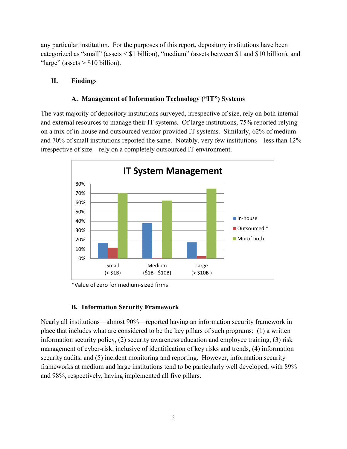any particular institution. For the purposes of this report, depository institutions have been categorized as "small" (assets < \$1 billion), "medium" (assets between \$1 and \$10 billion), and "large" (assets  $> $10$  billion).

#### **II. Findings**

#### **A. Management of Information Technology ("IT") Systems**

The vast majority of depository institutions surveyed, irrespective of size, rely on both internal and external resources to manage their IT systems. Of large institutions, 75% reported relying on a mix of in-house and outsourced vendor-provided IT systems. Similarly, 62% of medium and 70% of small institutions reported the same. Notably, very few institutions—less than 12% irrespective of size—rely on a completely outsourced IT environment.



\*Value of zero for medium-sized firms

#### **B. Information Security Framework**

Nearly all institutions—almost 90%—reported having an information security framework in place that includes what are considered to be the key pillars of such programs: (1) a written information security policy, (2) security awareness education and employee training, (3) risk management of cyber-risk, inclusive of identification of key risks and trends, (4) information security audits, and (5) incident monitoring and reporting. However, information security frameworks at medium and large institutions tend to be particularly well developed, with 89% and 98%, respectively, having implemented all five pillars.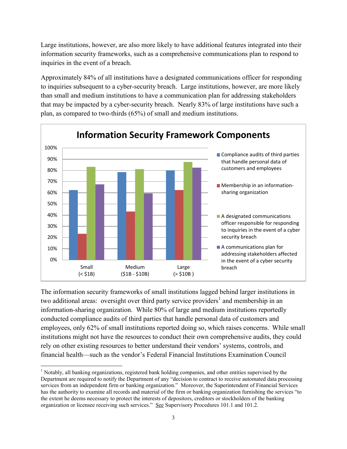Large institutions, however, are also more likely to have additional features integrated into their information security frameworks, such as a comprehensive communications plan to respond to inquiries in the event of a breach.

Approximately 84% of all institutions have a designated communications officer for responding to inquiries subsequent to a cyber-security breach. Large institutions, however, are more likely than small and medium institutions to have a communication plan for addressing stakeholders that may be impacted by a cyber-security breach. Nearly 83% of large institutions have such a plan, as compared to two-thirds (65%) of small and medium institutions.



The information security frameworks of small institutions lagged behind larger institutions in two additional areas: oversight over third party service providers<sup>1</sup> and membership in an information-sharing organization. While 80% of large and medium institutions reportedly conducted compliance audits of third parties that handle personal data of customers and employees, only 62% of small institutions reported doing so, which raises concerns. While small institutions might not have the resources to conduct their own comprehensive audits, they could rely on other existing resources to better understand their vendors' systems, controls, and financial health—such as the vendor's Federal Financial Institutions Examination Council

l

<sup>&</sup>lt;sup>1</sup> Notably, all banking organizations, registered bank holding companies, and other entities supervised by the Department are required to notify the Department of any "decision to contract to receive automated data processing services from an independent firm or banking organization." Moreover, the Superintendent of Financial Services has the authority to examine all records and material of the firm or banking organization furnishing the services "to the extent he deems necessary to protect the interests of depositors, creditors or stockholders of the banking organization or licensee receiving such services." See Supervisory Procedures 101.1 and 101.2.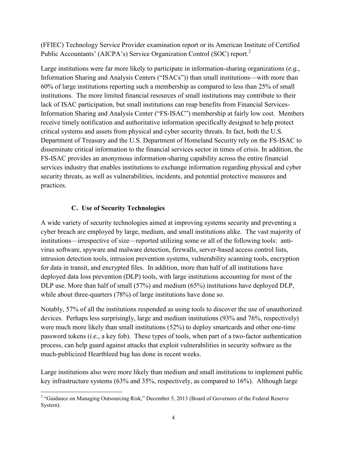(FFIEC) Technology Service Provider examination report or its American Institute of Certified Public Accountants' (AICPA's) Service Organization Control (SOC) report.<sup>2</sup>

Large institutions were far more likely to participate in information-sharing organizations (*e.g.*, Information Sharing and Analysis Centers ("ISACs")) than small institutions—with more than 60% of large institutions reporting such a membership as compared to less than 25% of small institutions. The more limited financial resources of small institutions may contribute to their lack of ISAC participation, but small institutions can reap benefits from Financial Services-Information Sharing and Analysis Center ("FS-ISAC") membership at fairly low cost. Members receive timely notification and authoritative information specifically designed to help protect critical systems and assets from physical and cyber security threats. In fact, both the U.S. Department of Treasury and the U.S. Department of Homeland Security rely on the FS-ISAC to disseminate critical information to the financial services sector in times of crisis. In addition, the FS-ISAC provides an anonymous information-sharing capability across the entire financial services industry that enables institutions to exchange information regarding physical and cyber security threats, as well as vulnerabilities, incidents, and potential protective measures and practices.

# **C. Use of Security Technologies**

A wide variety of security technologies aimed at improving systems security and preventing a cyber breach are employed by large, medium, and small institutions alike. The vast majority of institutions—irrespective of size—reported utilizing some or all of the following tools: antivirus software, spyware and malware detection, firewalls, server-based access control lists, intrusion detection tools, intrusion prevention systems, vulnerability scanning tools, encryption for data in transit, and encrypted files. In addition, more than half of all institutions have deployed data loss prevention (DLP) tools, with large institutions accounting for most of the DLP use. More than half of small (57%) and medium (65%) institutions have deployed DLP, while about three-quarters (78%) of large institutions have done so.

Notably, 57% of all the institutions responded as using tools to discover the use of unauthorized devices.Perhaps less surprisingly, large and medium institutions (93% and 76%, respectively) were much more likely than small institutions (52%) to deploy smartcards and other one-time password tokens (*i.e.*, a key fob). These types of tools, when part of a two-factor authentication process, can help guard against attacks that exploit vulnerabilities in security software as the much-publicized Heartbleed bug has done in recent weeks.

Large institutions also were more likely than medium and small institutions to implement public key infrastructure systems (63% and 35%, respectively, as compared to 16%). Although large

<sup>&</sup>lt;sup>2</sup> "Guidance on Managing Outsourcing Risk," December 5, 2013 (Board of Governors of the Federal Reserve System).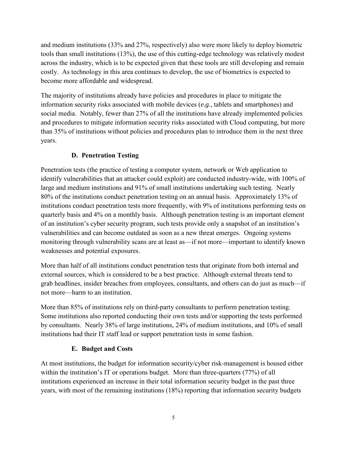and medium institutions (33% and 27%, respectively) also were more likely to deploy biometric tools than small institutions (13%), the use of this cutting-edge technology was relatively modest across the industry, which is to be expected given that these tools are still developing and remain costly. As technology in this area continues to develop, the use of biometrics is expected to become more affordable and widespread.

The majority of institutions already have policies and procedures in place to mitigate the information security risks associated with mobile devices (*e.g.*, tablets and smartphones) and social media. Notably, fewer than 27% of all the institutions have already implemented policies and procedures to mitigate information security risks associated with Cloud computing, but more than 35% of institutions without policies and procedures plan to introduce them in the next three years.

# **D. Penetration Testing**

Penetration tests (the practice of testing a computer system, network or Web application to identify vulnerabilities that an attacker could exploit) are conducted industry-wide, with 100% of large and medium institutions and 91% of small institutions undertaking such testing. Nearly 80% of the institutions conduct penetration testing on an annual basis. Approximately 13% of institutions conduct penetration tests more frequently, with 9% of institutions performing tests on quarterly basis and 4% on a monthly basis. Although penetration testing is an important element of an institution's cyber security program, such tests provide only a snapshot of an institution's vulnerabilities and can become outdated as soon as a new threat emerges. Ongoing systems monitoring through vulnerability scans are at least as—if not more—important to identify known weaknesses and potential exposures.

More than half of all institutions conduct penetration tests that originate from both internal and external sources, which is considered to be a best practice. Although external threats tend to grab headlines, insider breaches from employees, consultants, and others can do just as much—if not more—harm to an institution.

More than 85% of institutions rely on third-party consultants to perform penetration testing. Some institutions also reported conducting their own tests and/or supporting the tests performed by consultants. Nearly 38% of large institutions, 24% of medium institutions, and 10% of small institutions had their IT staff lead or support penetration tests in some fashion.

# **E. Budget and Costs**

At most institutions, the budget for information security/cyber risk-management is housed either within the institution's IT or operations budget. More than three-quarters (77%) of all institutions experienced an increase in their total information security budget in the past three years, with most of the remaining institutions (18%) reporting that information security budgets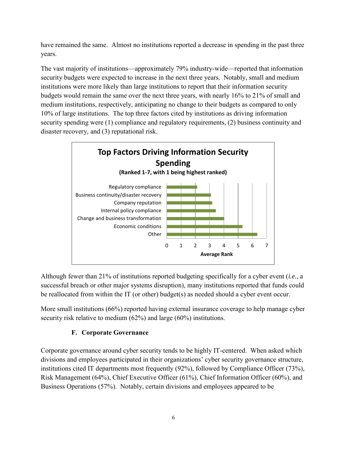have remained the same. Almost no institutions reported a decrease in spending in the past three years.

The vast majority of institutions—approximately 79% industry-wide—reported that information security budgets were expected to increase in the next three years. Notably, small and medium institutions were more likely than large institutions to report that their information security budgets would remain the same over the next three years, with nearly 16% to 21% of small and medium institutions, respectively, anticipating no change to their budgets as compared to only 10% of large institutions. The top three factors cited by institutions as driving information security spending were (1) compliance and regulatory requirements, (2) business continuity and disaster recovery, and (3) reputational risk.



Although fewer than 21% of institutions reported budgeting specifically for a cyber event (*i.e.*, a successful breach or other major systems disruption), many institutions reported that funds could be reallocated from within the IT (or other) budget(s) as needed should a cyber event occur.

More small institutions (66%) reported having external insurance coverage to help manage cyber security risk relative to medium (62%) and large (60%) institutions.

# **F. Corporate Governance**

Corporate governance around cyber security tends to be highly IT-centered. When asked which divisions and employees participated in their organizations' cyber security governance structure, institutions cited IT departments most frequently (92%), followed by Compliance Officer (73%), Risk Management (64%), Chief Executive Officer (61%), Chief Information Officer (60%), and Business Operations (57%). Notably, certain divisions and employees appeared to be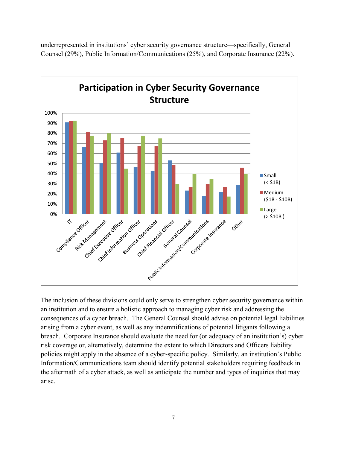



The inclusion of these divisions could only serve to strengthen cyber security governance within an institution and to ensure a holistic approach to managing cyber risk and addressing the consequences of a cyber breach. The General Counsel should advise on potential legal liabilities arising from a cyber event, as well as any indemnifications of potential litigants following a breach. Corporate Insurance should evaluate the need for (or adequacy of an institution's) cyber risk coverage or, alternatively, determine the extent to which Directors and Officers liability policies might apply in the absence of a cyber-specific policy. Similarly, an institution's Public Information/Communications team should identify potential stakeholders requiring feedback in the aftermath of a cyber attack, as well as anticipate the number and types of inquiries that may arise.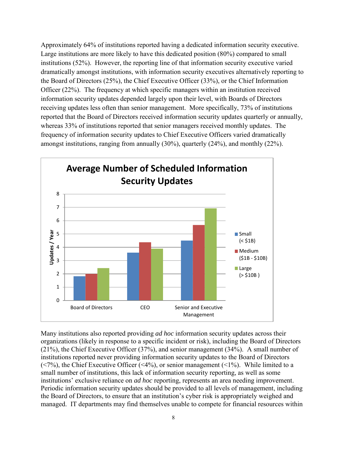Approximately 64% of institutions reported having a dedicated information security executive. Large institutions are more likely to have this dedicated position (80%) compared to small institutions (52%). However, the reporting line of that information security executive varied dramatically amongst institutions, with information security executives alternatively reporting to the Board of Directors (25%), the Chief Executive Officer (33%), or the Chief Information Officer (22%). The frequency at which specific managers within an institution received information security updates depended largely upon their level, with Boards of Directors receiving updates less often than senior management. More specifically, 73% of institutions reported that the Board of Directors received information security updates quarterly or annually, whereas 33% of institutions reported that senior managers received monthly updates. The frequency of information security updates to Chief Executive Officers varied dramatically amongst institutions, ranging from annually (30%), quarterly (24%), and monthly (22%).



Many institutions also reported providing *ad hoc* information security updates across their organizations (likely in response to a specific incident or risk), including the Board of Directors (21%), the Chief Executive Officer (37%), and senior management (34%). A small number of institutions reported never providing information security updates to the Board of Directors ( $\langle 7\%$ ), the Chief Executive Officer ( $\langle 4\%$ ), or senior management ( $\langle 1\%$ ). While limited to a small number of institutions, this lack of information security reporting, as well as some institutions' exclusive reliance on *ad hoc* reporting, represents an area needing improvement. Periodic information security updates should be provided to all levels of management, including the Board of Directors, to ensure that an institution's cyber risk is appropriately weighed and managed. IT departments may find themselves unable to compete for financial resources within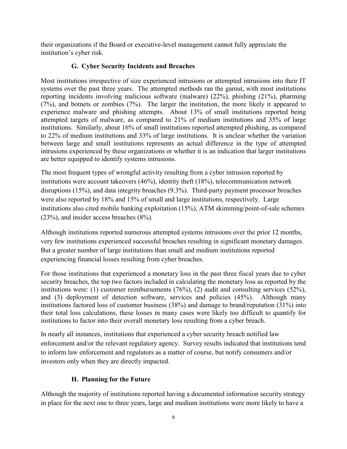their organizations if the Board or executive-level management cannot fully appreciate the institution's cyber risk.

# **G. Cyber Security Incidents and Breaches**

Most institutions irrespective of size experienced intrusions or attempted intrusions into their IT systems over the past three years. The attempted methods ran the gamut, with most institutions reporting incidents involving malicious software (malware) (22%), phishing (21%), pharming (7%), and botnets or zombies (7%). The larger the institution, the more likely it appeared to experience malware and phishing attempts. About 13% of small institutions reported being attempted targets of malware, as compared to 21% of medium institutions and 35% of large institutions. Similarly, about 16% of small institutions reported attempted phishing, as compared to 22% of medium institutions and 33% of large institutions. It is unclear whether the variation between large and small institutions represents an actual difference in the type of attempted intrusions experienced by these organizations or whether it is an indication that larger institutions are better equipped to identify systems intrusions.

The most frequent types of wrongful activity resulting from a cyber intrusion reported by institutions were account takeovers (46%), identity theft (18%), telecommunication network disruptions (15%), and data integrity breaches (9.3%). Third-party payment processor breaches were also reported by 18% and 15% of small and large institutions, respectively. Large institutions also cited mobile banking exploitation (15%), ATM skimming/point-of-sale schemes (23%), and insider access breaches (8%).

Although institutions reported numerous attempted systems intrusions over the prior 12 months, very few institutions experienced successful breaches resulting in significant monetary damages. But a greater number of large institutions than small and medium institutions reported experiencing financial losses resulting from cyber breaches.

For those institutions that experienced a monetary loss in the past three fiscal years due to cyber security breaches, the top two factors included in calculating the monetary loss as reported by the institutions were: (1) customer reimbursements (76%), (2) audit and consulting services (52%), and (3) deployment of detection software, services and policies (45%). Although many institutions factored loss of customer business (38%) and damage to brand/reputation (31%) into their total loss calculations, these losses in many cases were likely too difficult to quantify for institutions to factor into their overall monetary loss resulting from a cyber breach.

In nearly all instances, institutions that experienced a cyber security breach notified law enforcement and/or the relevant regulatory agency. Survey results indicated that institutions tend to inform law enforcement and regulators as a matter of course, but notify consumers and/or investors only when they are directly impacted.

# **H. Planning for the Future**

Although the majority of institutions reported having a documented information security strategy in place for the next one to three years, large and medium institutions were more likely to have a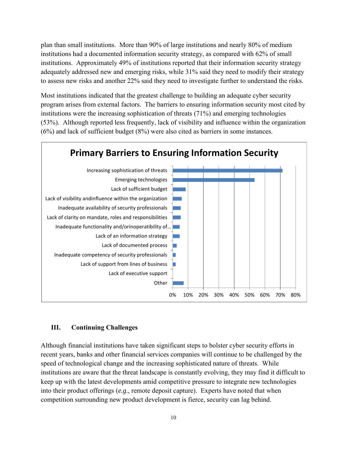plan than small institutions. More than 90% of large institutions and nearly 80% of medium institutions had a documented information security strategy, as compared with 62% of small institutions. Approximately 49% of institutions reported that their information security strategy adequately addressed new and emerging risks, while 31% said they need to modify their strategy to assess new risks and another 22% said they need to investigate further to understand the risks.

Most institutions indicated that the greatest challenge to building an adequate cyber security program arises from external factors. The barriers to ensuring information security most cited by institutions were the increasing sophistication of threats (71%) and emerging technologies (53%). Although reported less frequently, lack of visibility and influence within the organization (6%) and lack of sufficient budget (8%) were also cited as barriers in some instances.



#### **III. Continuing Challenges**

Although financial institutions have taken significant steps to bolster cyber security efforts in recent years, banks and other financial services companies will continue to be challenged by the speed of technological change and the increasing sophisticated nature of threats. While institutions are aware that the threat landscape is constantly evolving, they may find it difficult to keep up with the latest developments amid competitive pressure to integrate new technologies into their product offerings (*e.g*., remote deposit capture). Experts have noted that when competition surrounding new product development is fierce, security can lag behind.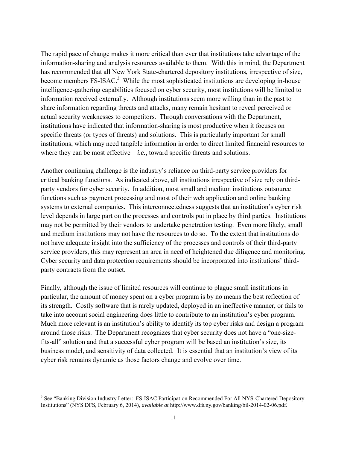The rapid pace of change makes it more critical than ever that institutions take advantage of the information-sharing and analysis resources available to them. With this in mind, the Department has recommended that all New York State-chartered depository institutions, irrespective of size, become members  $FS\text{-}ISAC$ <sup>3</sup> While the most sophisticated institutions are developing in-house intelligence-gathering capabilities focused on cyber security, most institutions will be limited to information received externally. Although institutions seem more willing than in the past to share information regarding threats and attacks, many remain hesitant to reveal perceived or actual security weaknesses to competitors. Through conversations with the Department, institutions have indicated that information-sharing is most productive when it focuses on specific threats (or types of threats) and solutions. This is particularly important for small institutions, which may need tangible information in order to direct limited financial resources to where they can be most effective—*i.e.*, toward specific threats and solutions.

Another continuing challenge is the industry's reliance on third-party service providers for critical banking functions. As indicated above, all institutions irrespective of size rely on thirdparty vendors for cyber security. In addition, most small and medium institutions outsource functions such as payment processing and most of their web application and online banking systems to external companies. This interconnectedness suggests that an institution's cyber risk level depends in large part on the processes and controls put in place by third parties. Institutions may not be permitted by their vendors to undertake penetration testing. Even more likely, small and medium institutions may not have the resources to do so. To the extent that institutions do not have adequate insight into the sufficiency of the processes and controls of their third-party service providers, this may represent an area in need of heightened due diligence and monitoring. Cyber security and data protection requirements should be incorporated into institutions' thirdparty contracts from the outset.

Finally, although the issue of limited resources will continue to plague small institutions in particular, the amount of money spent on a cyber program is by no means the best reflection of its strength. Costly software that is rarely updated, deployed in an ineffective manner, or fails to take into account social engineering does little to contribute to an institution's cyber program. Much more relevant is an institution's ability to identify its top cyber risks and design a program around those risks. The Department recognizes that cyber security does not have a "one-sizefits-all" solution and that a successful cyber program will be based an institution's size, its business model, and sensitivity of data collected. It is essential that an institution's view of its cyber risk remains dynamic as those factors change and evolve over time.

<sup>&</sup>lt;sup>3</sup> See "Banking Division Industry Letter: FS-ISAC Participation Recommended For All NYS-Chartered Depository Institutions" (NYS DFS, February 6, 2014), *available at* http://www.dfs.ny.gov/banking/bil-2014-02-06.pdf.